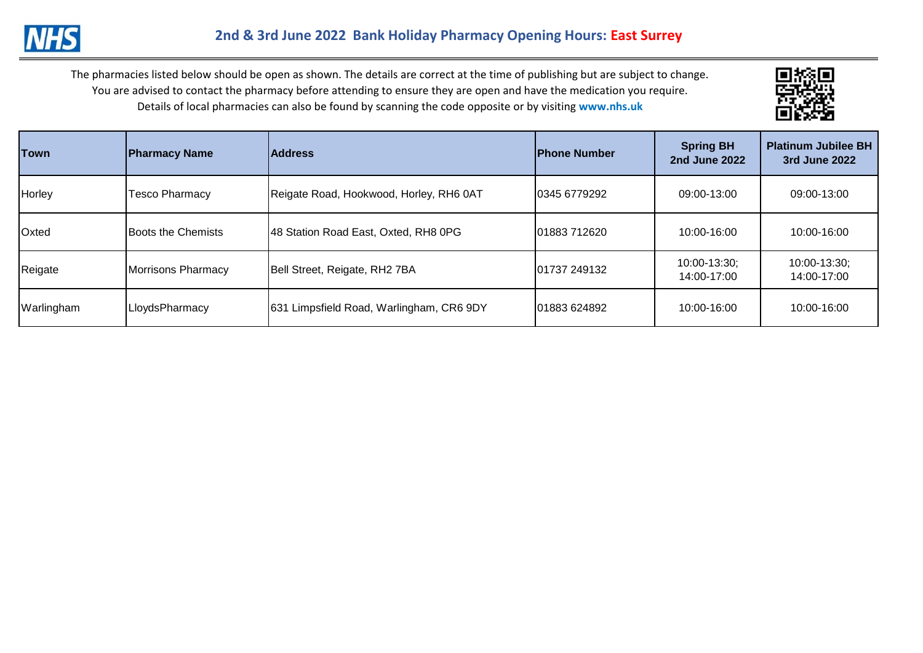

| <b>Town</b> | <b>Pharmacy Name</b>      | <b>Address</b>                               | <b>IPhone Number</b> | <b>Spring BH</b><br><b>2nd June 2022</b> | <b>Platinum Jubilee BH</b><br>3rd June 2022 |
|-------------|---------------------------|----------------------------------------------|----------------------|------------------------------------------|---------------------------------------------|
| Horley      | <b>Tesco Pharmacy</b>     | Reigate Road, Hookwood, Horley, RH6 0AT      | 0345 6779292         | 09:00-13:00                              | 09:00-13:00                                 |
| Oxted       | <b>Boots the Chemists</b> | 48 Station Road East, Oxted, RH8 0PG         | 01883 712620         | 10:00-16:00                              | 10:00-16:00                                 |
| Reigate     | Morrisons Pharmacy        | Bell Street, Reigate, RH2 7BA                | 01737 249132         | 10:00-13:30;<br>14:00-17:00              | 10:00-13:30;<br>14:00-17:00                 |
| Warlingham  | LloydsPharmacy            | Limpsfield Road, Warlingham, CR6 9DY<br>1631 | 01883 624892         | 10:00-16:00                              | 10:00-16:00                                 |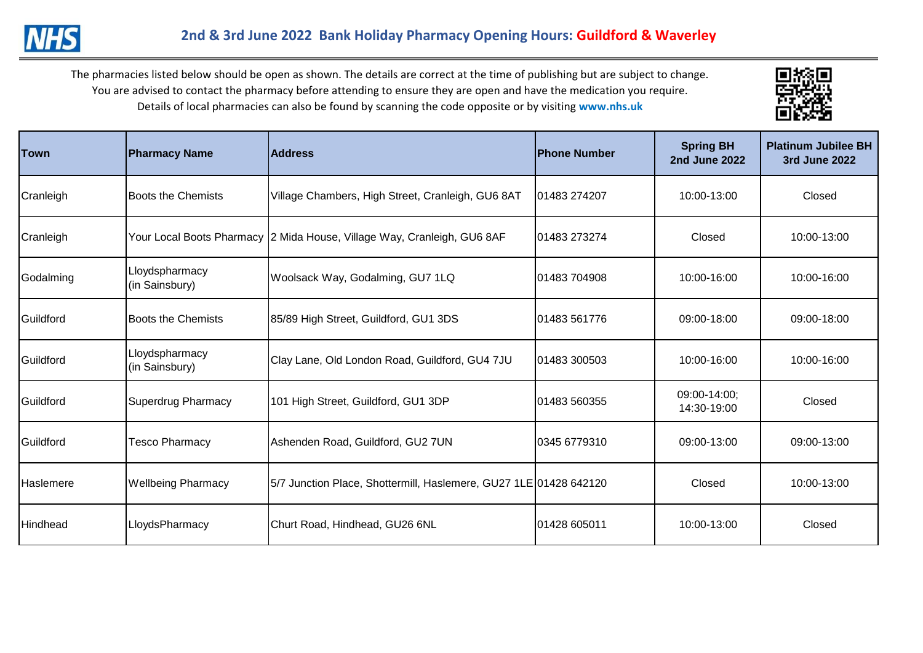

| Town      | <b>Pharmacy Name</b>             | <b>Address</b>                                                          | <b>IPhone Number</b> | <b>Spring BH</b><br><b>2nd June 2022</b> | <b>Platinum Jubilee BH</b><br>3rd June 2022 |
|-----------|----------------------------------|-------------------------------------------------------------------------|----------------------|------------------------------------------|---------------------------------------------|
| Cranleigh | <b>Boots the Chemists</b>        | Village Chambers, High Street, Cranleigh, GU6 8AT                       | 01483 274207         | 10:00-13:00                              | Closed                                      |
| Cranleigh |                                  | Your Local Boots Pharmacy 2 Mida House, Village Way, Cranleigh, GU6 8AF | 01483 273274         | Closed                                   | 10:00-13:00                                 |
| Godalming | Lloydspharmacy<br>(in Sainsbury) | Woolsack Way, Godalming, GU7 1LQ                                        | 01483 704908         | 10:00-16:00                              | 10:00-16:00                                 |
| Guildford | <b>Boots the Chemists</b>        | 85/89 High Street, Guildford, GU1 3DS                                   | 01483 561776         | 09:00-18:00                              | 09:00-18:00                                 |
| Guildford | Lloydspharmacy<br>(in Sainsbury) | Clay Lane, Old London Road, Guildford, GU4 7JU                          | 01483 300503         | 10:00-16:00                              | 10:00-16:00                                 |
| Guildford | <b>Superdrug Pharmacy</b>        | 101 High Street, Guildford, GU1 3DP                                     | 01483 560355         | 09:00-14:00;<br>14:30-19:00              | Closed                                      |
| Guildford | <b>Tesco Pharmacy</b>            | Ashenden Road, Guildford, GU2 7UN                                       | 0345 6779310         | 09:00-13:00                              | 09:00-13:00                                 |
| Haslemere | <b>Wellbeing Pharmacy</b>        | 5/7 Junction Place, Shottermill, Haslemere, GU27 1LE 01428 642120       |                      | Closed                                   | 10:00-13:00                                 |
| Hindhead  | LloydsPharmacy                   | Churt Road, Hindhead, GU26 6NL                                          | 01428 605011         | 10:00-13:00                              | Closed                                      |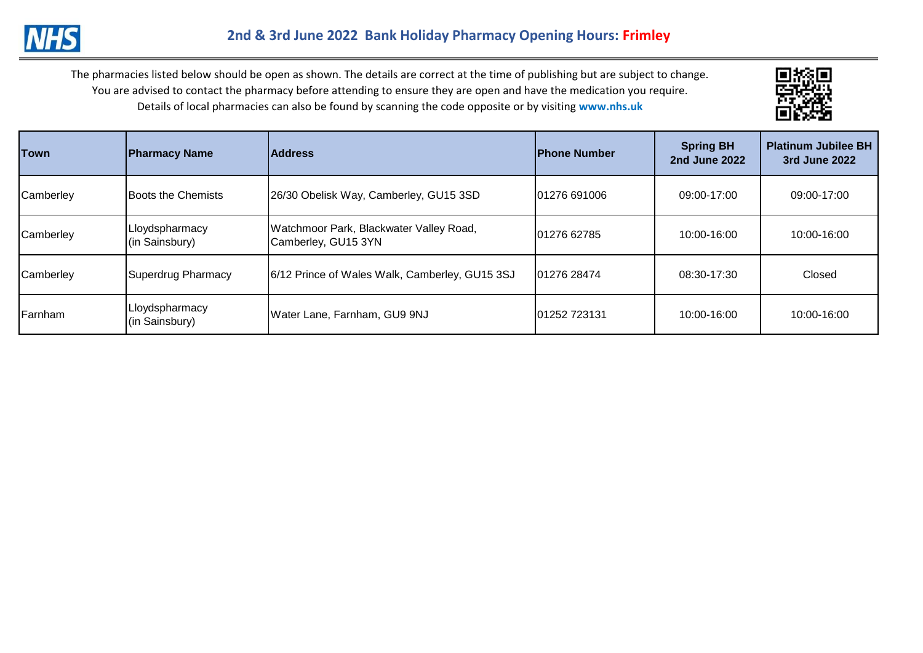

| <b>Town</b> | <b>Pharmacy Name</b>             | <b>Address</b>                                                 | <b>IPhone Number</b> | <b>Spring BH</b><br><b>2nd June 2022</b> | <b>Platinum Jubilee BH</b><br>3rd June 2022 |
|-------------|----------------------------------|----------------------------------------------------------------|----------------------|------------------------------------------|---------------------------------------------|
| Camberley   | Boots the Chemists               | 26/30 Obelisk Way, Camberley, GU15 3SD                         | 01276 691006         | 09:00-17:00                              | 09:00-17:00                                 |
| Camberley   | Lloydspharmacy<br>(in Sainsbury) | Watchmoor Park, Blackwater Valley Road,<br>Camberley, GU15 3YN | 101276 62785         | 10:00-16:00                              | 10:00-16:00                                 |
| Camberley   | Superdrug Pharmacy               | 6/12 Prince of Wales Walk, Camberley, GU15 3SJ                 | 01276 28474          | 08:30-17:30                              | Closed                                      |
| Farnham     | Lloydspharmacy<br>(in Sainsbury) | Water Lane, Farnham, GU9 9NJ                                   | 01252 723131         | 10:00-16:00                              | 10:00-16:00                                 |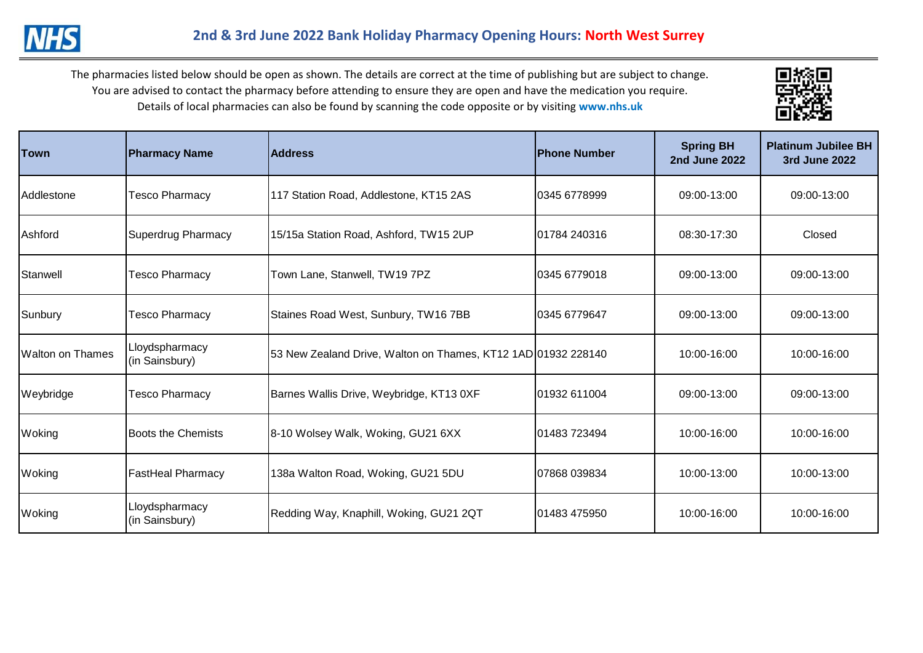

| Town                    | <b>Pharmacy Name</b>             | <b>Address</b>                                                | <b>IPhone Number</b> | <b>Spring BH</b><br><b>2nd June 2022</b> | <b>Platinum Jubilee BH</b><br>3rd June 2022 |
|-------------------------|----------------------------------|---------------------------------------------------------------|----------------------|------------------------------------------|---------------------------------------------|
| Addlestone              | <b>Tesco Pharmacy</b>            | 117 Station Road, Addlestone, KT15 2AS                        | 0345 6778999         | 09:00-13:00                              | 09:00-13:00                                 |
| Ashford                 | Superdrug Pharmacy               | 15/15a Station Road, Ashford, TW15 2UP                        | 01784 240316         | 08:30-17:30                              | Closed                                      |
| Stanwell                | <b>Tesco Pharmacy</b>            | Town Lane, Stanwell, TW19 7PZ                                 | 0345 6779018         | 09:00-13:00                              | 09:00-13:00                                 |
| Sunbury                 | <b>Tesco Pharmacy</b>            | Staines Road West, Sunbury, TW16 7BB                          | 10345 6779647        | 09:00-13:00                              | 09:00-13:00                                 |
| <b>Walton on Thames</b> | Lloydspharmacy<br>(in Sainsbury) | 53 New Zealand Drive, Walton on Thames, KT12 1AD 01932 228140 |                      | 10:00-16:00                              | 10:00-16:00                                 |
| Weybridge               | <b>Tesco Pharmacy</b>            | Barnes Wallis Drive, Weybridge, KT13 0XF                      | 101932 611004        | 09:00-13:00                              | 09:00-13:00                                 |
| Woking                  | <b>Boots the Chemists</b>        | 8-10 Wolsey Walk, Woking, GU21 6XX                            | 01483 723494         | 10:00-16:00                              | 10:00-16:00                                 |
| Woking                  | <b>FastHeal Pharmacy</b>         | 138a Walton Road, Woking, GU21 5DU                            | 107868 039834        | 10:00-13:00                              | 10:00-13:00                                 |
| Woking                  | Lloydspharmacy<br>(in Sainsbury) | Redding Way, Knaphill, Woking, GU21 2QT                       | 01483 475950         | 10:00-16:00                              | 10:00-16:00                                 |